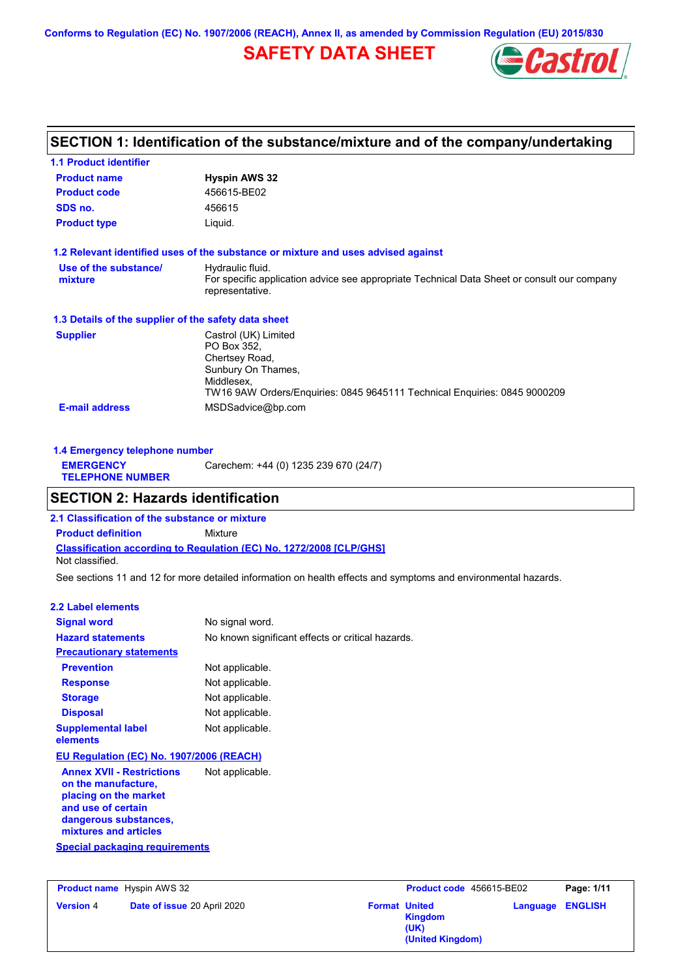**Conforms to Regulation (EC) No. 1907/2006 (REACH), Annex II, as amended by Commission Regulation (EU) 2015/830**

## **SAFETY DATA SHEET**



### **SECTION 1: Identification of the substance/mixture and of the company/undertaking**

| <b>1.1 Product identifier</b>                        |                                                                                                                                                                        |
|------------------------------------------------------|------------------------------------------------------------------------------------------------------------------------------------------------------------------------|
| <b>Product name</b>                                  | <b>Hyspin AWS 32</b>                                                                                                                                                   |
| <b>Product code</b>                                  | 456615-BE02                                                                                                                                                            |
| SDS no.                                              | 456615                                                                                                                                                                 |
| <b>Product type</b>                                  | Liquid.                                                                                                                                                                |
|                                                      | 1.2 Relevant identified uses of the substance or mixture and uses advised against                                                                                      |
| Use of the substance/<br>mixture                     | Hydraulic fluid.<br>For specific application advice see appropriate Technical Data Sheet or consult our company<br>representative.                                     |
| 1.3 Details of the supplier of the safety data sheet |                                                                                                                                                                        |
| <b>Supplier</b>                                      | Castrol (UK) Limited<br>PO Box 352.<br>Chertsey Road,<br>Sunbury On Thames,<br>Middlesex,<br>TW16 9AW Orders/Enguiries: 0845 9645111 Technical Enguiries: 0845 9000209 |
| <b>E-mail address</b>                                | MSDSadvice@bp.com                                                                                                                                                      |

| 1.4 Emergency telephone number              |                                       |
|---------------------------------------------|---------------------------------------|
| <b>EMERGENCY</b><br><b>TELEPHONE NUMBER</b> | Carechem: +44 (0) 1235 239 670 (24/7) |

### **SECTION 2: Hazards identification**

**Classification according to Regulation (EC) No. 1272/2008 [CLP/GHS] 2.1 Classification of the substance or mixture Product definition** Mixture Not classified.

See sections 11 and 12 for more detailed information on health effects and symptoms and environmental hazards.

#### **2.2 Label elements**

| <b>Signal word</b>                                                                                                                                                                                | No signal word.                                   |
|---------------------------------------------------------------------------------------------------------------------------------------------------------------------------------------------------|---------------------------------------------------|
| <b>Hazard statements</b>                                                                                                                                                                          | No known significant effects or critical hazards. |
| <b>Precautionary statements</b>                                                                                                                                                                   |                                                   |
| <b>Prevention</b>                                                                                                                                                                                 | Not applicable.                                   |
| <b>Response</b>                                                                                                                                                                                   | Not applicable.                                   |
| <b>Storage</b>                                                                                                                                                                                    | Not applicable.                                   |
| <b>Disposal</b>                                                                                                                                                                                   | Not applicable.                                   |
| <b>Supplemental label</b><br>elements                                                                                                                                                             | Not applicable.                                   |
| EU Regulation (EC) No. 1907/2006 (REACH)                                                                                                                                                          |                                                   |
| <b>Annex XVII - Restrictions</b><br>on the manufacture,<br>placing on the market<br>and use of certain<br>dangerous substances,<br>mixtures and articles<br><b>Special packaging requirements</b> | Not applicable.                                   |
|                                                                                                                                                                                                   |                                                   |

| <b>Product name</b> Hyspin AWS 32 |                             | Product code 456615-BE02 |                                                                    | Page: 1/11              |  |
|-----------------------------------|-----------------------------|--------------------------|--------------------------------------------------------------------|-------------------------|--|
| <b>Version 4</b>                  | Date of issue 20 April 2020 |                          | <b>Format United</b><br><b>Kingdom</b><br>(UK)<br>(United Kingdom) | <b>Language ENGLISH</b> |  |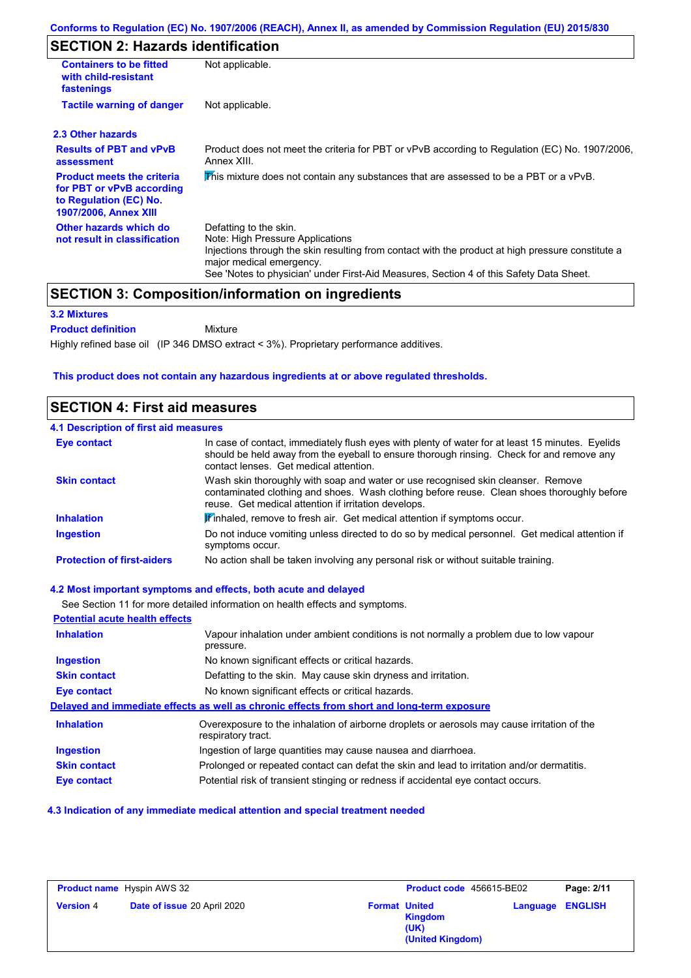### **SECTION 2: Hazards identification**

| <b>Containers to be fitted</b><br>with child-resistant<br>fastenings                                                     | Not applicable.                                                                                                                                                                                                                                                                        |  |
|--------------------------------------------------------------------------------------------------------------------------|----------------------------------------------------------------------------------------------------------------------------------------------------------------------------------------------------------------------------------------------------------------------------------------|--|
| <b>Tactile warning of danger</b>                                                                                         | Not applicable.                                                                                                                                                                                                                                                                        |  |
| 2.3 Other hazards                                                                                                        |                                                                                                                                                                                                                                                                                        |  |
| <b>Results of PBT and vPvB</b><br>assessment                                                                             | Product does not meet the criteria for PBT or vPvB according to Regulation (EC) No. 1907/2006,<br>Annex XIII.                                                                                                                                                                          |  |
| <b>Product meets the criteria</b><br>for PBT or vPvB according<br>to Regulation (EC) No.<br><b>1907/2006, Annex XIII</b> | This mixture does not contain any substances that are assessed to be a PBT or a vPvB.                                                                                                                                                                                                  |  |
| Other hazards which do<br>not result in classification                                                                   | Defatting to the skin.<br>Note: High Pressure Applications<br>Injections through the skin resulting from contact with the product at high pressure constitute a<br>major medical emergency.<br>See 'Notes to physician' under First-Aid Measures, Section 4 of this Safety Data Sheet. |  |

### **SECTION 3: Composition/information on ingredients**

#### **3.2 Mixtures**

**Product definition**

Mixture

Highly refined base oil (IP 346 DMSO extract < 3%). Proprietary performance additives.

#### **This product does not contain any hazardous ingredients at or above regulated thresholds.**

### **SECTION 4: First aid measures**

#### **4.1 Description of first aid measures**

| Eye contact                       | In case of contact, immediately flush eyes with plenty of water for at least 15 minutes. Eyelids<br>should be held away from the eyeball to ensure thorough rinsing. Check for and remove any<br>contact lenses. Get medical attention. |
|-----------------------------------|-----------------------------------------------------------------------------------------------------------------------------------------------------------------------------------------------------------------------------------------|
| <b>Skin contact</b>               | Wash skin thoroughly with soap and water or use recognised skin cleanser. Remove<br>contaminated clothing and shoes. Wash clothing before reuse. Clean shoes thoroughly before<br>reuse. Get medical attention if irritation develops.  |
| <b>Inhalation</b>                 | <b>If</b> inhaled, remove to fresh air. Get medical attention if symptoms occur.                                                                                                                                                        |
| <b>Ingestion</b>                  | Do not induce vomiting unless directed to do so by medical personnel. Get medical attention if<br>symptoms occur.                                                                                                                       |
| <b>Protection of first-aiders</b> | No action shall be taken involving any personal risk or without suitable training.                                                                                                                                                      |

#### **4.2 Most important symptoms and effects, both acute and delayed**

See Section 11 for more detailed information on health effects and symptoms.

| <b>Potential acute health effects</b> |                                                                                                                   |
|---------------------------------------|-------------------------------------------------------------------------------------------------------------------|
| <b>Inhalation</b>                     | Vapour inhalation under ambient conditions is not normally a problem due to low vapour<br>pressure.               |
| <b>Ingestion</b>                      | No known significant effects or critical hazards.                                                                 |
| <b>Skin contact</b>                   | Defatting to the skin. May cause skin dryness and irritation.                                                     |
| <b>Eye contact</b>                    | No known significant effects or critical hazards.                                                                 |
|                                       | Delayed and immediate effects as well as chronic effects from short and long-term exposure                        |
| <b>Inhalation</b>                     | Overexposure to the inhalation of airborne droplets or aerosols may cause irritation of the<br>respiratory tract. |
| <b>Ingestion</b>                      | Ingestion of large quantities may cause nausea and diarrhoea.                                                     |
| <b>Skin contact</b>                   | Prolonged or repeated contact can defat the skin and lead to irritation and/or dermatitis.                        |
| <b>Eye contact</b>                    | Potential risk of transient stinging or redness if accidental eye contact occurs.                                 |

#### **4.3 Indication of any immediate medical attention and special treatment needed**

| <b>Product name</b> Hyspin AWS 32 |                             | Product code 456615-BE02 |                                            | Page: 2/11              |  |
|-----------------------------------|-----------------------------|--------------------------|--------------------------------------------|-------------------------|--|
| <b>Version 4</b>                  | Date of issue 20 April 2020 | <b>Format United</b>     | <b>Kingdom</b><br>(UK)<br>(United Kingdom) | <b>Language ENGLISH</b> |  |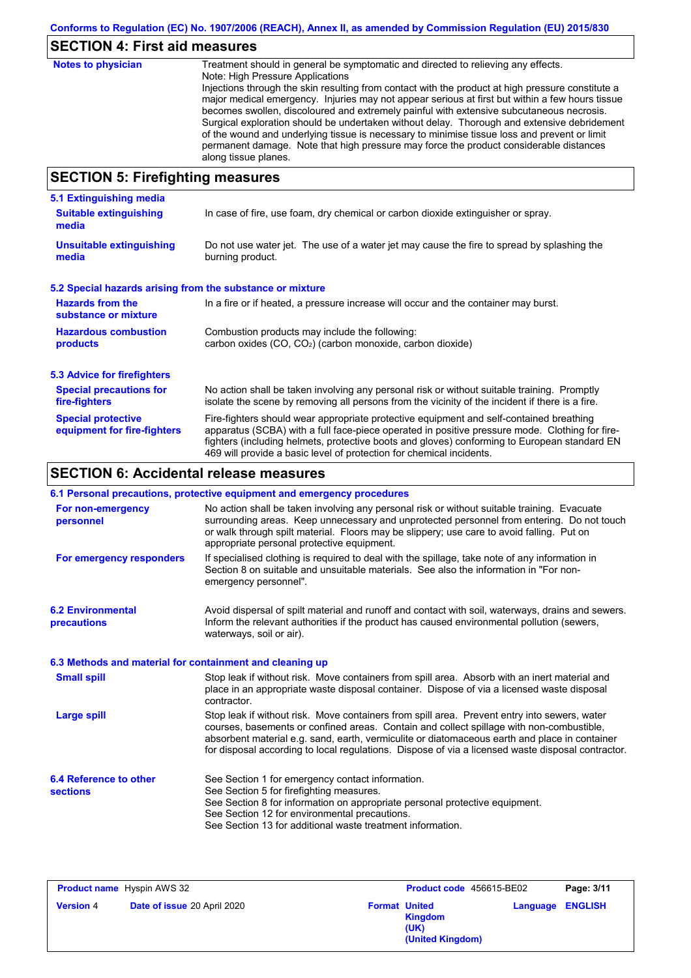# **SECTION 4: First aid measures**

| <b>Notes to physician</b>                           | Treatment should in general be symptomatic and directed to relieving any effects.<br>Note: High Pressure Applications<br>Injections through the skin resulting from contact with the product at high pressure constitute a<br>major medical emergency. Injuries may not appear serious at first but within a few hours tissue<br>becomes swollen, discoloured and extremely painful with extensive subcutaneous necrosis.<br>Surgical exploration should be undertaken without delay. Thorough and extensive debridement<br>of the wound and underlying tissue is necessary to minimise tissue loss and prevent or limit<br>permanent damage. Note that high pressure may force the product considerable distances<br>along tissue planes. |
|-----------------------------------------------------|--------------------------------------------------------------------------------------------------------------------------------------------------------------------------------------------------------------------------------------------------------------------------------------------------------------------------------------------------------------------------------------------------------------------------------------------------------------------------------------------------------------------------------------------------------------------------------------------------------------------------------------------------------------------------------------------------------------------------------------------|
| $C$ E $C$ TI $\Omega$ bi E. Einefinishem meagailmea |                                                                                                                                                                                                                                                                                                                                                                                                                                                                                                                                                                                                                                                                                                                                            |

### **SECTION 5: Firefighting measures**

| 5.1 Extinguishing media                                   |                                                                                                                                                                                                                                                                                                                                                                   |
|-----------------------------------------------------------|-------------------------------------------------------------------------------------------------------------------------------------------------------------------------------------------------------------------------------------------------------------------------------------------------------------------------------------------------------------------|
| <b>Suitable extinguishing</b><br>media                    | In case of fire, use foam, dry chemical or carbon dioxide extinguisher or spray.                                                                                                                                                                                                                                                                                  |
| <b>Unsuitable extinguishing</b><br>media                  | Do not use water jet. The use of a water jet may cause the fire to spread by splashing the<br>burning product.                                                                                                                                                                                                                                                    |
| 5.2 Special hazards arising from the substance or mixture |                                                                                                                                                                                                                                                                                                                                                                   |
| <b>Hazards from the</b><br>substance or mixture           | In a fire or if heated, a pressure increase will occur and the container may burst.                                                                                                                                                                                                                                                                               |
| <b>Hazardous combustion</b><br>products                   | Combustion products may include the following:<br>carbon oxides (CO, CO <sub>2</sub> ) (carbon monoxide, carbon dioxide)                                                                                                                                                                                                                                          |
| 5.3 Advice for firefighters                               |                                                                                                                                                                                                                                                                                                                                                                   |
| <b>Special precautions for</b><br>fire-fighters           | No action shall be taken involving any personal risk or without suitable training. Promptly<br>isolate the scene by removing all persons from the vicinity of the incident if there is a fire.                                                                                                                                                                    |
| <b>Special protective</b><br>equipment for fire-fighters  | Fire-fighters should wear appropriate protective equipment and self-contained breathing<br>apparatus (SCBA) with a full face-piece operated in positive pressure mode. Clothing for fire-<br>fighters (including helmets, protective boots and gloves) conforming to European standard EN<br>469 will provide a basic level of protection for chemical incidents. |

# **SECTION 6: Accidental release measures**

|                                                          | 6.1 Personal precautions, protective equipment and emergency procedures                                                                                                                                                                                                                                                                                                                        |
|----------------------------------------------------------|------------------------------------------------------------------------------------------------------------------------------------------------------------------------------------------------------------------------------------------------------------------------------------------------------------------------------------------------------------------------------------------------|
| For non-emergency<br>personnel                           | No action shall be taken involving any personal risk or without suitable training. Evacuate<br>surrounding areas. Keep unnecessary and unprotected personnel from entering. Do not touch<br>or walk through spilt material. Floors may be slippery; use care to avoid falling. Put on<br>appropriate personal protective equipment.                                                            |
| For emergency responders                                 | If specialised clothing is required to deal with the spillage, take note of any information in<br>Section 8 on suitable and unsuitable materials. See also the information in "For non-<br>emergency personnel".                                                                                                                                                                               |
| <b>6.2 Environmental</b><br>precautions                  | Avoid dispersal of spilt material and runoff and contact with soil, waterways, drains and sewers.<br>Inform the relevant authorities if the product has caused environmental pollution (sewers,<br>waterways, soil or air).                                                                                                                                                                    |
| 6.3 Methods and material for containment and cleaning up |                                                                                                                                                                                                                                                                                                                                                                                                |
| <b>Small spill</b>                                       | Stop leak if without risk. Move containers from spill area. Absorb with an inert material and<br>place in an appropriate waste disposal container. Dispose of via a licensed waste disposal<br>contractor.                                                                                                                                                                                     |
| <b>Large spill</b>                                       | Stop leak if without risk. Move containers from spill area. Prevent entry into sewers, water<br>courses, basements or confined areas. Contain and collect spillage with non-combustible,<br>absorbent material e.g. sand, earth, vermiculite or diatomaceous earth and place in container<br>for disposal according to local regulations. Dispose of via a licensed waste disposal contractor. |
| 6.4 Reference to other<br><b>sections</b>                | See Section 1 for emergency contact information.<br>See Section 5 for firefighting measures.<br>See Section 8 for information on appropriate personal protective equipment.                                                                                                                                                                                                                    |
|                                                          | See Section 12 for environmental precautions.<br>See Section 13 for additional waste treatment information.                                                                                                                                                                                                                                                                                    |

| <b>Product name</b> Hyspin AWS 32 |                             | Product code 456615-BE02 |                                            | Page: 3/11 |                         |
|-----------------------------------|-----------------------------|--------------------------|--------------------------------------------|------------|-------------------------|
| <b>Version 4</b>                  | Date of issue 20 April 2020 | <b>Format United</b>     | <b>Kingdom</b><br>(UK)<br>(United Kingdom) |            | <b>Language ENGLISH</b> |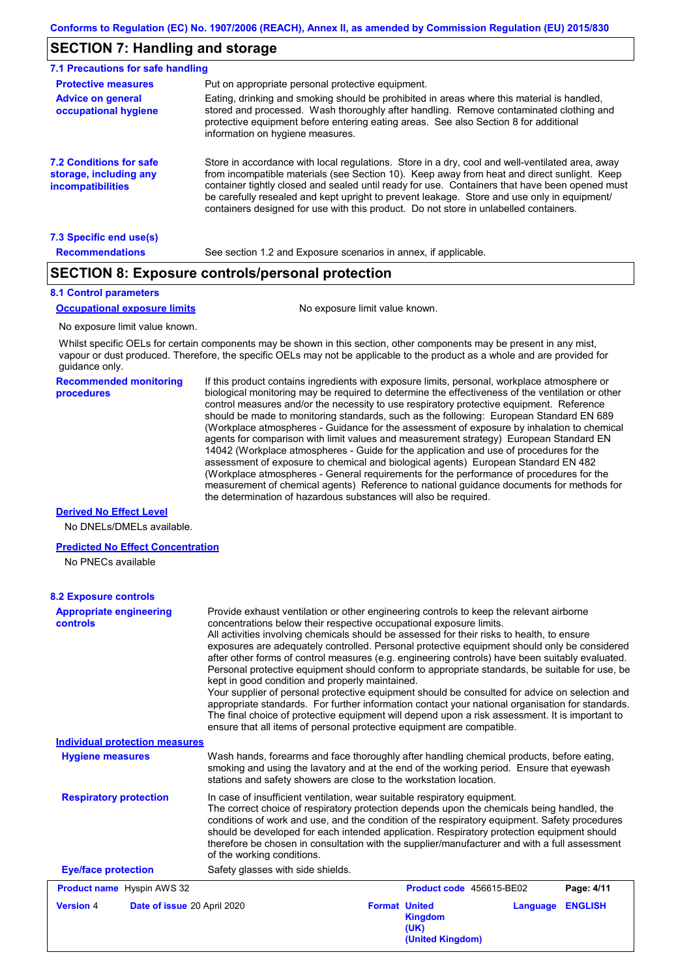### **SECTION 7: Handling and storage**

| 7.1 Precautions for safe handling                                                    |                                                                                                                                                                                                                                                                                                                                                                                                                                                                                          |
|--------------------------------------------------------------------------------------|------------------------------------------------------------------------------------------------------------------------------------------------------------------------------------------------------------------------------------------------------------------------------------------------------------------------------------------------------------------------------------------------------------------------------------------------------------------------------------------|
| <b>Protective measures</b>                                                           | Put on appropriate personal protective equipment.                                                                                                                                                                                                                                                                                                                                                                                                                                        |
| <b>Advice on general</b><br>occupational hygiene                                     | Eating, drinking and smoking should be prohibited in areas where this material is handled.<br>stored and processed. Wash thoroughly after handling. Remove contaminated clothing and<br>protective equipment before entering eating areas. See also Section 8 for additional<br>information on hygiene measures.                                                                                                                                                                         |
| <b>7.2 Conditions for safe</b><br>storage, including any<br><i>incompatibilities</i> | Store in accordance with local requiations. Store in a dry, cool and well-ventilated area, away<br>from incompatible materials (see Section 10). Keep away from heat and direct sunlight. Keep<br>container tightly closed and sealed until ready for use. Containers that have been opened must<br>be carefully resealed and kept upright to prevent leakage. Store and use only in equipment/<br>containers designed for use with this product. Do not store in unlabelled containers. |
| 7.3 Specific end use(s)                                                              |                                                                                                                                                                                                                                                                                                                                                                                                                                                                                          |
| <b>Recommendations</b>                                                               | See section 1.2 and Exposure scenarios in annex, if applicable.                                                                                                                                                                                                                                                                                                                                                                                                                          |

#### **SECTION 8: Exposure controls/personal protection**

#### **8.1 Control parameters**

#### **Occupational exposure limits** No exposure limit value known.

No exposure limit value known.

Whilst specific OELs for certain components may be shown in this section, other components may be present in any mist, vapour or dust produced. Therefore, the specific OELs may not be applicable to the product as a whole and are provided for guidance only.

**Recommended monitoring procedures**

If this product contains ingredients with exposure limits, personal, workplace atmosphere or biological monitoring may be required to determine the effectiveness of the ventilation or other control measures and/or the necessity to use respiratory protective equipment. Reference should be made to monitoring standards, such as the following: European Standard EN 689 (Workplace atmospheres - Guidance for the assessment of exposure by inhalation to chemical agents for comparison with limit values and measurement strategy) European Standard EN 14042 (Workplace atmospheres - Guide for the application and use of procedures for the assessment of exposure to chemical and biological agents) European Standard EN 482 (Workplace atmospheres - General requirements for the performance of procedures for the measurement of chemical agents) Reference to national guidance documents for methods for the determination of hazardous substances will also be required.

#### **Derived No Effect Level**

No DNELs/DMELs available.

#### **Predicted No Effect Concentration**

No PNECs available

### **8.2 Exposure controls**

| <b>Appropriate engineering</b><br>controls      | Provide exhaust ventilation or other engineering controls to keep the relevant airborne<br>concentrations below their respective occupational exposure limits.<br>All activities involving chemicals should be assessed for their risks to health, to ensure<br>exposures are adequately controlled. Personal protective equipment should only be considered<br>after other forms of control measures (e.g. engineering controls) have been suitably evaluated.<br>Personal protective equipment should conform to appropriate standards, be suitable for use, be<br>kept in good condition and properly maintained.<br>Your supplier of personal protective equipment should be consulted for advice on selection and<br>appropriate standards. For further information contact your national organisation for standards.<br>The final choice of protective equipment will depend upon a risk assessment. It is important to<br>ensure that all items of personal protective equipment are compatible. |
|-------------------------------------------------|---------------------------------------------------------------------------------------------------------------------------------------------------------------------------------------------------------------------------------------------------------------------------------------------------------------------------------------------------------------------------------------------------------------------------------------------------------------------------------------------------------------------------------------------------------------------------------------------------------------------------------------------------------------------------------------------------------------------------------------------------------------------------------------------------------------------------------------------------------------------------------------------------------------------------------------------------------------------------------------------------------|
| <b>Individual protection measures</b>           |                                                                                                                                                                                                                                                                                                                                                                                                                                                                                                                                                                                                                                                                                                                                                                                                                                                                                                                                                                                                         |
| <b>Hygiene measures</b>                         | Wash hands, forearms and face thoroughly after handling chemical products, before eating,<br>smoking and using the lavatory and at the end of the working period. Ensure that eyewash<br>stations and safety showers are close to the workstation location.                                                                                                                                                                                                                                                                                                                                                                                                                                                                                                                                                                                                                                                                                                                                             |
| <b>Respiratory protection</b>                   | In case of insufficient ventilation, wear suitable respiratory equipment.<br>The correct choice of respiratory protection depends upon the chemicals being handled, the<br>conditions of work and use, and the condition of the respiratory equipment. Safety procedures<br>should be developed for each intended application. Respiratory protection equipment should<br>therefore be chosen in consultation with the supplier/manufacturer and with a full assessment<br>of the working conditions.                                                                                                                                                                                                                                                                                                                                                                                                                                                                                                   |
| <b>Eye/face protection</b>                      | Safety glasses with side shields.                                                                                                                                                                                                                                                                                                                                                                                                                                                                                                                                                                                                                                                                                                                                                                                                                                                                                                                                                                       |
| <b>Product name</b> Hyspin AWS 32               | Product code 456615-BE02<br>Page: 4/11                                                                                                                                                                                                                                                                                                                                                                                                                                                                                                                                                                                                                                                                                                                                                                                                                                                                                                                                                                  |
| Date of issue 20 April 2020<br><b>Version 4</b> | <b>Format United</b><br><b>ENGLISH</b><br>Language<br><b>Kingdom</b><br>(UK)<br>(United Kingdom)                                                                                                                                                                                                                                                                                                                                                                                                                                                                                                                                                                                                                                                                                                                                                                                                                                                                                                        |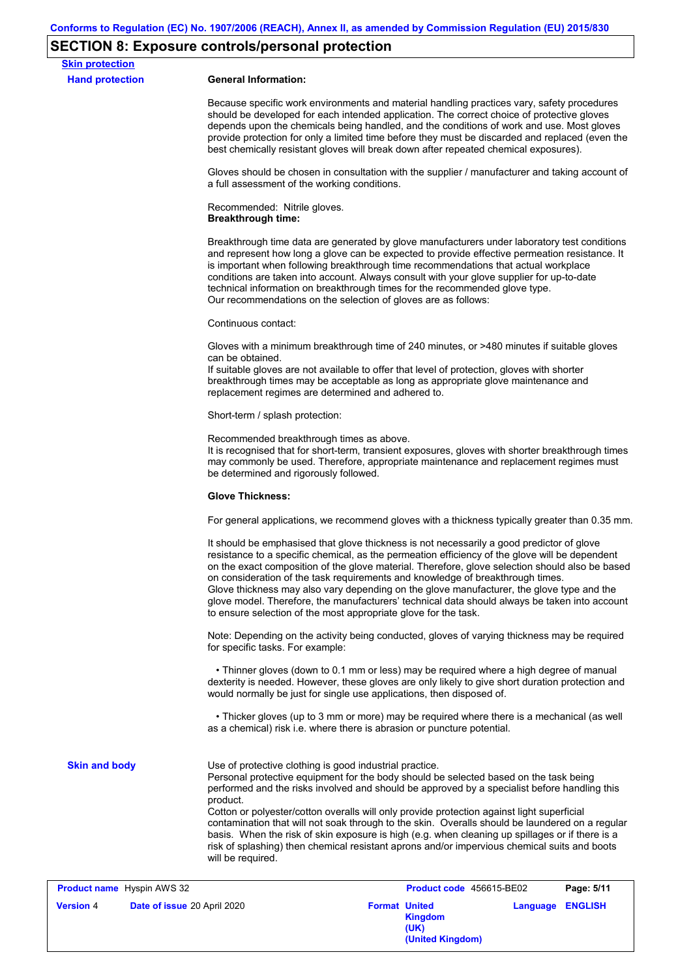# **SECTION 8: Exposure controls/personal protection**

| <b>Skin protection</b>            |                                                                                                                                                                                                                                                                                                                                                                                                                                                                                                                                                                                                                                                                  |
|-----------------------------------|------------------------------------------------------------------------------------------------------------------------------------------------------------------------------------------------------------------------------------------------------------------------------------------------------------------------------------------------------------------------------------------------------------------------------------------------------------------------------------------------------------------------------------------------------------------------------------------------------------------------------------------------------------------|
| <b>Hand protection</b>            | <b>General Information:</b>                                                                                                                                                                                                                                                                                                                                                                                                                                                                                                                                                                                                                                      |
|                                   | Because specific work environments and material handling practices vary, safety procedures<br>should be developed for each intended application. The correct choice of protective gloves<br>depends upon the chemicals being handled, and the conditions of work and use. Most gloves<br>provide protection for only a limited time before they must be discarded and replaced (even the<br>best chemically resistant gloves will break down after repeated chemical exposures).                                                                                                                                                                                 |
|                                   | Gloves should be chosen in consultation with the supplier / manufacturer and taking account of<br>a full assessment of the working conditions.                                                                                                                                                                                                                                                                                                                                                                                                                                                                                                                   |
|                                   | Recommended: Nitrile gloves.<br><b>Breakthrough time:</b>                                                                                                                                                                                                                                                                                                                                                                                                                                                                                                                                                                                                        |
|                                   | Breakthrough time data are generated by glove manufacturers under laboratory test conditions<br>and represent how long a glove can be expected to provide effective permeation resistance. It<br>is important when following breakthrough time recommendations that actual workplace<br>conditions are taken into account. Always consult with your glove supplier for up-to-date<br>technical information on breakthrough times for the recommended glove type.<br>Our recommendations on the selection of gloves are as follows:                                                                                                                               |
|                                   | Continuous contact:                                                                                                                                                                                                                                                                                                                                                                                                                                                                                                                                                                                                                                              |
|                                   | Gloves with a minimum breakthrough time of 240 minutes, or >480 minutes if suitable gloves<br>can be obtained.<br>If suitable gloves are not available to offer that level of protection, gloves with shorter<br>breakthrough times may be acceptable as long as appropriate glove maintenance and<br>replacement regimes are determined and adhered to.                                                                                                                                                                                                                                                                                                         |
|                                   | Short-term / splash protection:                                                                                                                                                                                                                                                                                                                                                                                                                                                                                                                                                                                                                                  |
|                                   | Recommended breakthrough times as above.<br>It is recognised that for short-term, transient exposures, gloves with shorter breakthrough times<br>may commonly be used. Therefore, appropriate maintenance and replacement regimes must<br>be determined and rigorously followed.                                                                                                                                                                                                                                                                                                                                                                                 |
|                                   | <b>Glove Thickness:</b>                                                                                                                                                                                                                                                                                                                                                                                                                                                                                                                                                                                                                                          |
|                                   | For general applications, we recommend gloves with a thickness typically greater than 0.35 mm.                                                                                                                                                                                                                                                                                                                                                                                                                                                                                                                                                                   |
|                                   | It should be emphasised that glove thickness is not necessarily a good predictor of glove<br>resistance to a specific chemical, as the permeation efficiency of the glove will be dependent<br>on the exact composition of the glove material. Therefore, glove selection should also be based<br>on consideration of the task requirements and knowledge of breakthrough times.<br>Glove thickness may also vary depending on the glove manufacturer, the glove type and the<br>glove model. Therefore, the manufacturers' technical data should always be taken into account<br>to ensure selection of the most appropriate glove for the task.                |
|                                   | Note: Depending on the activity being conducted, gloves of varying thickness may be required<br>for specific tasks. For example:                                                                                                                                                                                                                                                                                                                                                                                                                                                                                                                                 |
|                                   | • Thinner gloves (down to 0.1 mm or less) may be required where a high degree of manual<br>dexterity is needed. However, these gloves are only likely to give short duration protection and<br>would normally be just for single use applications, then disposed of.                                                                                                                                                                                                                                                                                                                                                                                             |
|                                   | • Thicker gloves (up to 3 mm or more) may be required where there is a mechanical (as well<br>as a chemical) risk i.e. where there is abrasion or puncture potential.                                                                                                                                                                                                                                                                                                                                                                                                                                                                                            |
| <b>Skin and body</b>              | Use of protective clothing is good industrial practice.<br>Personal protective equipment for the body should be selected based on the task being<br>performed and the risks involved and should be approved by a specialist before handling this<br>product.<br>Cotton or polyester/cotton overalls will only provide protection against light superficial<br>contamination that will not soak through to the skin. Overalls should be laundered on a regular<br>basis. When the risk of skin exposure is high (e.g. when cleaning up spillages or if there is a<br>risk of splashing) then chemical resistant aprons and/or impervious chemical suits and boots |
| <b>Product name</b> Hyspin AWS 32 | will be required.<br>Product code 456615-BE02<br>Page: 5/11                                                                                                                                                                                                                                                                                                                                                                                                                                                                                                                                                                                                      |

| <b>THOMASE HANNS HyperHANNO</b> OF |                             |                      | $1.1$ value vous todo to be the |                         | . |
|------------------------------------|-----------------------------|----------------------|---------------------------------|-------------------------|---|
| <b>Version 4</b>                   | Date of issue 20 April 2020 | <b>Format United</b> | <b>Kingdom</b>                  | <b>Language ENGLISH</b> |   |
|                                    |                             |                      | (UK)                            |                         |   |
|                                    |                             |                      | (United Kingdom)                |                         |   |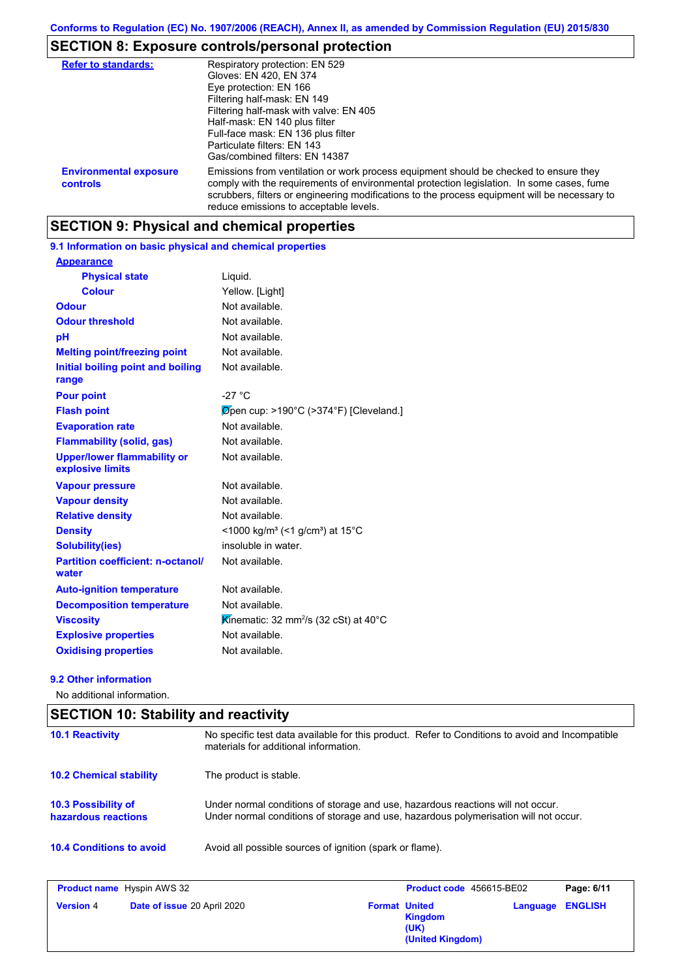### **SECTION 8: Exposure controls/personal protection**

| <b>Refer to standards:</b>                       | Respiratory protection: EN 529<br>Gloves: EN 420, EN 374<br>Eye protection: EN 166<br>Filtering half-mask: EN 149<br>Filtering half-mask with valve: EN 405<br>Half-mask: EN 140 plus filter<br>Full-face mask: EN 136 plus filter<br>Particulate filters: EN 143<br>Gas/combined filters: EN 14387                           |
|--------------------------------------------------|-------------------------------------------------------------------------------------------------------------------------------------------------------------------------------------------------------------------------------------------------------------------------------------------------------------------------------|
| <b>Environmental exposure</b><br><b>controls</b> | Emissions from ventilation or work process equipment should be checked to ensure they<br>comply with the requirements of environmental protection legislation. In some cases, fume<br>scrubbers, filters or engineering modifications to the process equipment will be necessary to<br>reduce emissions to acceptable levels. |

### **SECTION 9: Physical and chemical properties**

#### **9.1 Information on basic physical and chemical properties**

| <b>Appearance</b>                                      |                                                                      |
|--------------------------------------------------------|----------------------------------------------------------------------|
| <b>Physical state</b>                                  | Liquid.                                                              |
| <b>Colour</b>                                          | Yellow. [Light]                                                      |
| Odour                                                  | Not available.                                                       |
| <b>Odour threshold</b>                                 | Not available.                                                       |
| рH                                                     | Not available.                                                       |
| <b>Melting point/freezing point</b>                    | Not available.                                                       |
| Initial boiling point and boiling<br>range             | Not available.                                                       |
| <b>Pour point</b>                                      | $-27 °C$                                                             |
| <b>Flash point</b>                                     | Øpen cup: >190°C (>374°F) [Cleveland.]                               |
| <b>Evaporation rate</b>                                | Not available.                                                       |
| <b>Flammability (solid, gas)</b>                       | Not available.                                                       |
| <b>Upper/lower flammability or</b><br>explosive limits | Not available.                                                       |
| <b>Vapour pressure</b>                                 | Not available.                                                       |
| <b>Vapour density</b>                                  | Not available.                                                       |
| <b>Relative density</b>                                | Not available.                                                       |
| <b>Density</b>                                         | <1000 kg/m <sup>3</sup> (<1 g/cm <sup>3</sup> ) at 15 <sup>°</sup> C |
| <b>Solubility(ies)</b>                                 | insoluble in water.                                                  |
| <b>Partition coefficient: n-octanol/</b><br>water      | Not available.                                                       |
| <b>Auto-ignition temperature</b>                       | Not available.                                                       |
| <b>Decomposition temperature</b>                       | Not available.                                                       |
| <b>Viscosity</b>                                       | Kinematic: 32 mm <sup>2</sup> /s (32 cSt) at 40 $\degree$ C          |
| <b>Explosive properties</b>                            | Not available.                                                       |
| <b>Oxidising properties</b>                            | Not available.                                                       |

#### **9.2 Other information**

No additional information.

### **10.4 Conditions to avoid** Avoid all possible sources of ignition (spark or flame). **10.2 Chemical stability** The product is stable. **10.3 Possibility of hazardous reactions** Under normal conditions of storage and use, hazardous reactions will not occur. Under normal conditions of storage and use, hazardous polymerisation will not occur. **SECTION 10: Stability and reactivity 10.1 Reactivity** No specific test data available for this product. Refer to Conditions to avoid and Incompatible materials for additional information.

| <b>Product name</b> Hyspin AWS 32 |                             | Product code 456615-BE02 |                                            | Page: 6/11              |  |
|-----------------------------------|-----------------------------|--------------------------|--------------------------------------------|-------------------------|--|
| <b>Version 4</b>                  | Date of issue 20 April 2020 | <b>Format United</b>     | <b>Kingdom</b><br>(UK)<br>(United Kingdom) | <b>Language ENGLISH</b> |  |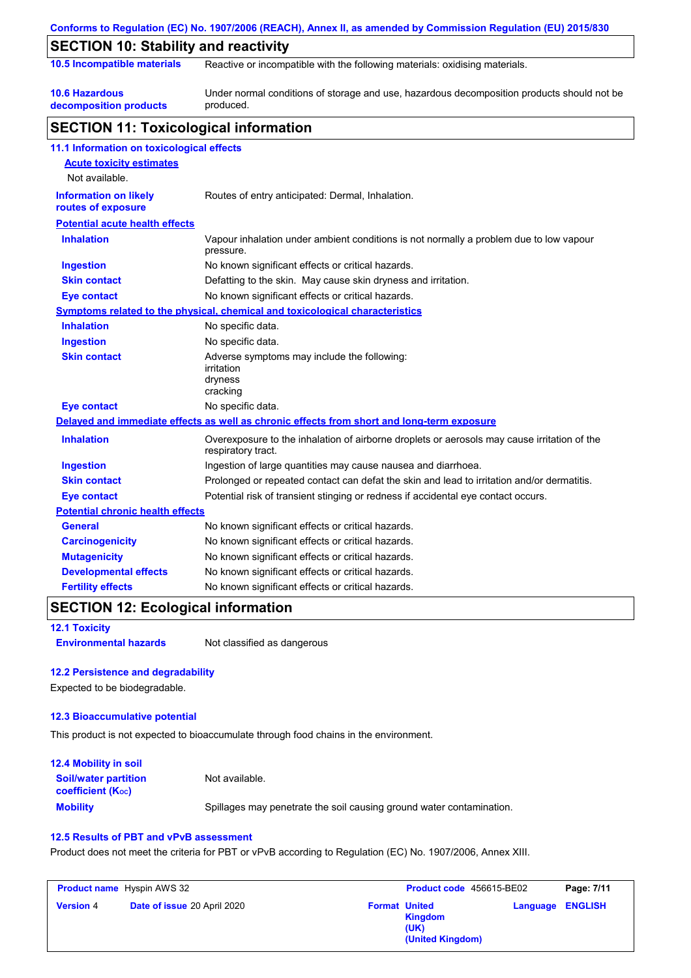|                                                    | Conforms to Regulation (EC) No. 1907/2006 (REACH), Annex II, as amended by Commission Regulation (EU) 2015/830    |
|----------------------------------------------------|-------------------------------------------------------------------------------------------------------------------|
| <b>SECTION 10: Stability and reactivity</b>        |                                                                                                                   |
| 10.5 Incompatible materials                        | Reactive or incompatible with the following materials: oxidising materials.                                       |
| <b>10.6 Hazardous</b><br>decomposition products    | Under normal conditions of storage and use, hazardous decomposition products should not be<br>produced.           |
| <b>SECTION 11: Toxicological information</b>       |                                                                                                                   |
| 11.1 Information on toxicological effects          |                                                                                                                   |
| <b>Acute toxicity estimates</b>                    |                                                                                                                   |
| Not available.                                     |                                                                                                                   |
| <b>Information on likely</b><br>routes of exposure | Routes of entry anticipated: Dermal, Inhalation.                                                                  |
| <b>Potential acute health effects</b>              |                                                                                                                   |
| <b>Inhalation</b>                                  | Vapour inhalation under ambient conditions is not normally a problem due to low vapour<br>pressure.               |
| <b>Ingestion</b>                                   | No known significant effects or critical hazards.                                                                 |
| <b>Skin contact</b>                                | Defatting to the skin. May cause skin dryness and irritation.                                                     |
| Eye contact                                        | No known significant effects or critical hazards.                                                                 |
|                                                    | Symptoms related to the physical, chemical and toxicological characteristics                                      |
| <b>Inhalation</b>                                  | No specific data.                                                                                                 |
| <b>Ingestion</b>                                   | No specific data.                                                                                                 |
| <b>Skin contact</b>                                | Adverse symptoms may include the following:<br>irritation<br>dryness<br>cracking                                  |
| <b>Eye contact</b>                                 | No specific data.                                                                                                 |
|                                                    | Delayed and immediate effects as well as chronic effects from short and long-term exposure                        |
| <b>Inhalation</b>                                  | Overexposure to the inhalation of airborne droplets or aerosols may cause irritation of the<br>respiratory tract. |
| <b>Ingestion</b>                                   | Ingestion of large quantities may cause nausea and diarrhoea.                                                     |
| <b>Skin contact</b>                                | Prolonged or repeated contact can defat the skin and lead to irritation and/or dermatitis.                        |
| <b>Eye contact</b>                                 | Potential risk of transient stinging or redness if accidental eye contact occurs.                                 |
| <b>Potential chronic health effects</b>            |                                                                                                                   |
| <b>General</b>                                     | No known significant effects or critical hazards.                                                                 |
| <b>Carcinogenicity</b>                             | No known significant effects or critical hazards.                                                                 |
| <b>Mutagenicity</b>                                | No known significant effects or critical hazards.                                                                 |
| <b>Developmental effects</b>                       | No known significant effects or critical hazards.                                                                 |
| <b>Fertility effects</b>                           | No known significant effects or critical hazards.                                                                 |

### **SECTION 12: Ecological information**

**Environmental hazards** Not classified as dangerous

**12.1 Toxicity**

#### **12.2 Persistence and degradability**

Expected to be biodegradable.

#### **12.3 Bioaccumulative potential**

This product is not expected to bioaccumulate through food chains in the environment.

| <b>12.4 Mobility in soil</b>                                  |                                                                      |
|---------------------------------------------------------------|----------------------------------------------------------------------|
| <b>Soil/water partition</b><br>coefficient (K <sub>oc</sub> ) | Not available.                                                       |
| <b>Mobility</b>                                               | Spillages may penetrate the soil causing ground water contamination. |

#### **12.5 Results of PBT and vPvB assessment**

Product does not meet the criteria for PBT or vPvB according to Regulation (EC) No. 1907/2006, Annex XIII.

| <b>Product name</b> Hyspin AWS 32 |                             | <b>Product code</b> 456615-BE02 |                                                             | Page: 7/11 |                  |
|-----------------------------------|-----------------------------|---------------------------------|-------------------------------------------------------------|------------|------------------|
| <b>Version 4</b>                  | Date of issue 20 April 2020 |                                 | <b>Format United</b><br>Kingdom<br>(UK)<br>(United Kingdom) |            | Language ENGLISH |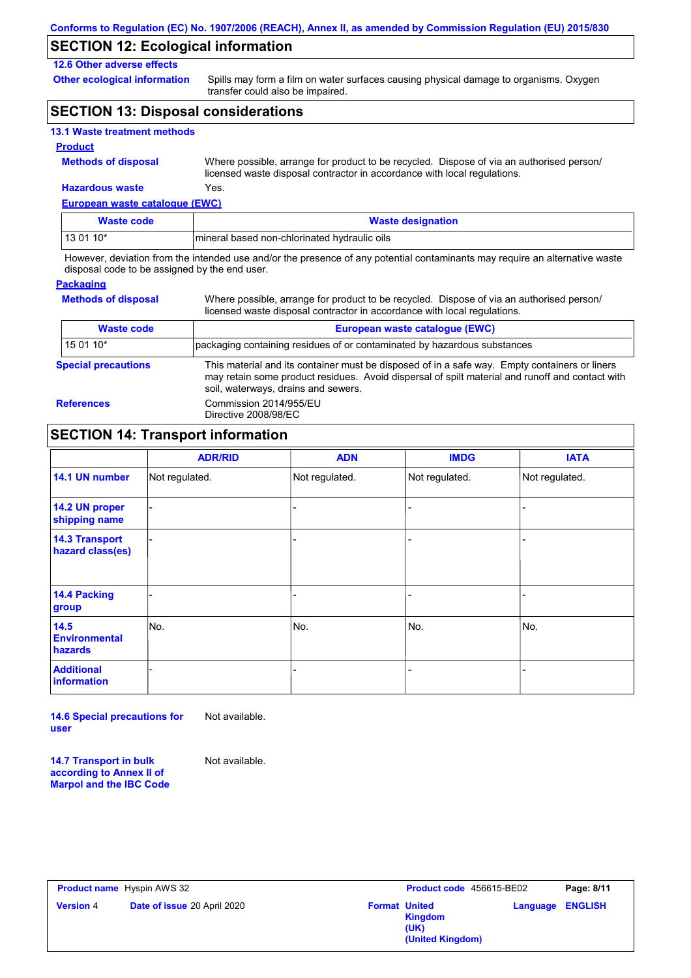### **SECTION 12: Ecological information**

#### **12.6 Other adverse effects**

**Other ecological information**

Spills may form a film on water surfaces causing physical damage to organisms. Oxygen transfer could also be impaired.

### **SECTION 13: Disposal considerations**

#### **13.1 Waste treatment methods**

#### **Product**

**Methods of disposal**

Where possible, arrange for product to be recycled. Dispose of via an authorised person/ licensed waste disposal contractor in accordance with local regulations.

**European waste catalogue (EWC) Hazardous waste** Yes.

| Waste code | <b>Waste designation</b>                     |
|------------|----------------------------------------------|
| 13 01 10*  | mineral based non-chlorinated hydraulic oils |

However, deviation from the intended use and/or the presence of any potential contaminants may require an alternative waste disposal code to be assigned by the end user.

#### **Packaging**

**Methods of disposal**

Where possible, arrange for product to be recycled. Dispose of via an authorised person/ licensed waste disposal contractor in accordance with local regulations.

| <b>Waste code</b>          | European waste catalogue (EWC)                                                                                                                                                                                                          |
|----------------------------|-----------------------------------------------------------------------------------------------------------------------------------------------------------------------------------------------------------------------------------------|
| $150110*$                  | packaging containing residues of or contaminated by hazardous substances                                                                                                                                                                |
| <b>Special precautions</b> | This material and its container must be disposed of in a safe way. Empty containers or liners<br>may retain some product residues. Avoid dispersal of spilt material and runoff and contact with<br>soil, waterways, drains and sewers. |
| <b>References</b>          | Commission 2014/955/EU<br>Directive 2008/98/EC                                                                                                                                                                                          |

### **SECTION 14: Transport information**

|                                           | <b>ADR/RID</b> | <b>ADN</b>     | <b>IMDG</b>    | <b>IATA</b>    |
|-------------------------------------------|----------------|----------------|----------------|----------------|
| 14.1 UN number                            | Not regulated. | Not regulated. | Not regulated. | Not regulated. |
| 14.2 UN proper<br>shipping name           |                |                |                |                |
| <b>14.3 Transport</b><br>hazard class(es) |                |                | -              |                |
| 14.4 Packing<br>group                     |                |                | -              |                |
| 14.5<br><b>Environmental</b><br>hazards   | No.            | No.            | No.            | No.            |
| <b>Additional</b><br><b>information</b>   |                |                | ۰              |                |

**14.6 Special precautions for user** Not available.

**14.7 Transport in bulk according to Annex II of Marpol and the IBC Code** Not available.

| <b>Product name</b> Hyspin AWS 32                      |                                                                    | Product code 456615-BE02 | Page: 8/11 |
|--------------------------------------------------------|--------------------------------------------------------------------|--------------------------|------------|
| <b>Version</b> 4<br><b>Date of issue 20 April 2020</b> | <b>Format United</b><br><b>Kingdom</b><br>(UK)<br>(United Kingdom) | <b>Language ENGLISH</b>  |            |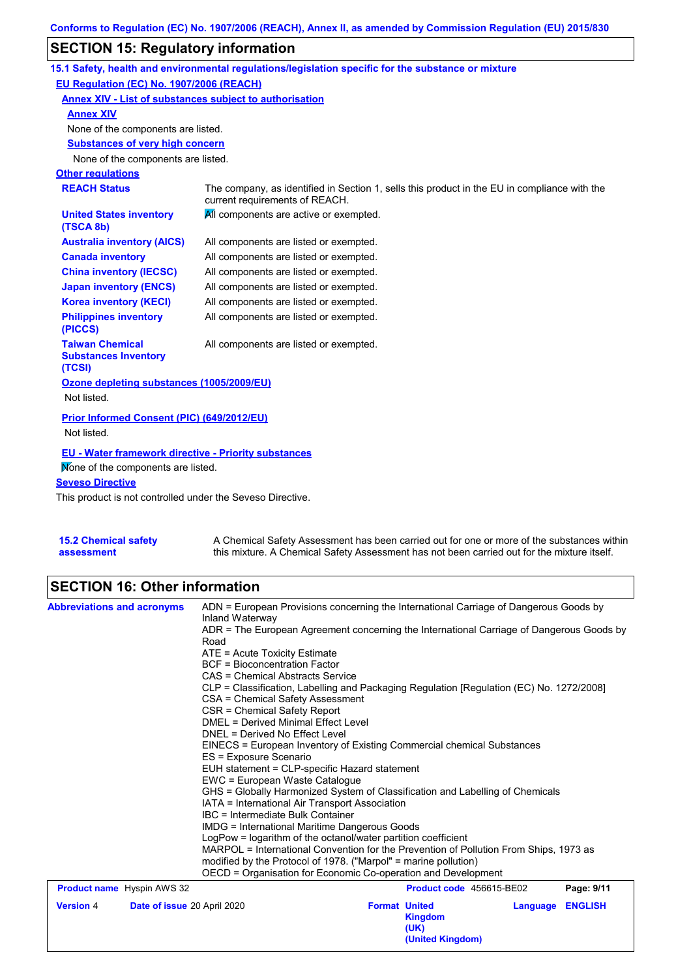# **SECTION 15: Regulatory information**

|                                                                                                   | 15.1 Safety, health and environmental regulations/legislation specific for the substance or mixture                            |
|---------------------------------------------------------------------------------------------------|--------------------------------------------------------------------------------------------------------------------------------|
| EU Regulation (EC) No. 1907/2006 (REACH)                                                          |                                                                                                                                |
| Annex XIV - List of substances subject to authorisation                                           |                                                                                                                                |
| <b>Annex XIV</b>                                                                                  |                                                                                                                                |
| None of the components are listed.                                                                |                                                                                                                                |
| <b>Substances of very high concern</b>                                                            |                                                                                                                                |
| None of the components are listed.                                                                |                                                                                                                                |
| <b>Other regulations</b>                                                                          |                                                                                                                                |
| <b>REACH Status</b>                                                                               | The company, as identified in Section 1, sells this product in the EU in compliance with the<br>current requirements of REACH. |
| <b>United States inventory</b><br>(TSCA 8b)                                                       | All components are active or exempted.                                                                                         |
| <b>Australia inventory (AICS)</b>                                                                 | All components are listed or exempted.                                                                                         |
| <b>Canada inventory</b>                                                                           | All components are listed or exempted.                                                                                         |
| <b>China inventory (IECSC)</b>                                                                    | All components are listed or exempted.                                                                                         |
| <b>Japan inventory (ENCS)</b>                                                                     | All components are listed or exempted.                                                                                         |
| <b>Korea inventory (KECI)</b>                                                                     | All components are listed or exempted.                                                                                         |
| <b>Philippines inventory</b><br>(PICCS)                                                           | All components are listed or exempted.                                                                                         |
| <b>Taiwan Chemical</b><br><b>Substances Inventory</b><br>(TCSI)                                   | All components are listed or exempted.                                                                                         |
| Ozone depleting substances (1005/2009/EU)                                                         |                                                                                                                                |
| Not listed.                                                                                       |                                                                                                                                |
| <b>Prior Informed Consent (PIC) (649/2012/EU)</b><br>Not listed.                                  |                                                                                                                                |
| <b>EU - Water framework directive - Priority substances</b><br>Mone of the components are listed. |                                                                                                                                |
| <b>Seveso Directive</b>                                                                           |                                                                                                                                |
| This product is not controlled under the Seveso Directive                                         |                                                                                                                                |

This product is not controlled under the Seveso Directive.

| <b>15.2 Chemical safety</b> | A Chemical Safety Assessment has been carried out for one or more of the substances within  |
|-----------------------------|---------------------------------------------------------------------------------------------|
| assessment                  | this mixture. A Chemical Safety Assessment has not been carried out for the mixture itself. |

# **SECTION 16: Other information**

| <b>Abbreviations and acronyms</b> | ADN = European Provisions concerning the International Carriage of Dangerous Goods by                                                                                |                                                                                          |                          |          |                |  |  |
|-----------------------------------|----------------------------------------------------------------------------------------------------------------------------------------------------------------------|------------------------------------------------------------------------------------------|--------------------------|----------|----------------|--|--|
|                                   | Inland Waterway<br>ADR = The European Agreement concerning the International Carriage of Dangerous Goods by                                                          |                                                                                          |                          |          |                |  |  |
|                                   | Road                                                                                                                                                                 |                                                                                          |                          |          |                |  |  |
|                                   | ATE = Acute Toxicity Estimate                                                                                                                                        |                                                                                          |                          |          |                |  |  |
|                                   | <b>BCF</b> = Bioconcentration Factor                                                                                                                                 |                                                                                          |                          |          |                |  |  |
|                                   | CAS = Chemical Abstracts Service                                                                                                                                     |                                                                                          |                          |          |                |  |  |
|                                   |                                                                                                                                                                      | CLP = Classification, Labelling and Packaging Regulation [Regulation (EC) No. 1272/2008] |                          |          |                |  |  |
|                                   | CSA = Chemical Safety Assessment                                                                                                                                     |                                                                                          |                          |          |                |  |  |
|                                   |                                                                                                                                                                      | CSR = Chemical Safety Report                                                             |                          |          |                |  |  |
|                                   | DNEL = Derived No Effect Level                                                                                                                                       | DMEL = Derived Minimal Effect Level                                                      |                          |          |                |  |  |
|                                   | EINECS = European Inventory of Existing Commercial chemical Substances                                                                                               |                                                                                          |                          |          |                |  |  |
|                                   | ES = Exposure Scenario                                                                                                                                               |                                                                                          |                          |          |                |  |  |
|                                   |                                                                                                                                                                      | EUH statement = CLP-specific Hazard statement                                            |                          |          |                |  |  |
|                                   |                                                                                                                                                                      | EWC = European Waste Catalogue                                                           |                          |          |                |  |  |
|                                   | GHS = Globally Harmonized System of Classification and Labelling of Chemicals<br>IATA = International Air Transport Association<br>IBC = Intermediate Bulk Container |                                                                                          |                          |          |                |  |  |
|                                   |                                                                                                                                                                      |                                                                                          |                          |          |                |  |  |
|                                   |                                                                                                                                                                      |                                                                                          |                          |          |                |  |  |
|                                   |                                                                                                                                                                      | <b>IMDG = International Maritime Dangerous Goods</b>                                     |                          |          |                |  |  |
|                                   | LogPow = logarithm of the octanol/water partition coefficient                                                                                                        |                                                                                          |                          |          |                |  |  |
|                                   | MARPOL = International Convention for the Prevention of Pollution From Ships, 1973 as<br>modified by the Protocol of 1978. ("Marpol" = marine pollution)             |                                                                                          |                          |          |                |  |  |
|                                   | OECD = Organisation for Economic Co-operation and Development                                                                                                        |                                                                                          |                          |          |                |  |  |
| <b>Product name</b> Hyspin AWS 32 |                                                                                                                                                                      |                                                                                          | Product code 456615-BE02 |          | Page: 9/11     |  |  |
| <b>Version 4</b>                  | Date of issue 20 April 2020                                                                                                                                          | <b>Format United</b>                                                                     |                          | Language | <b>ENGLISH</b> |  |  |
|                                   |                                                                                                                                                                      |                                                                                          | <b>Kingdom</b>           |          |                |  |  |
|                                   |                                                                                                                                                                      |                                                                                          | (UK)                     |          |                |  |  |
|                                   |                                                                                                                                                                      |                                                                                          | (United Kingdom)         |          |                |  |  |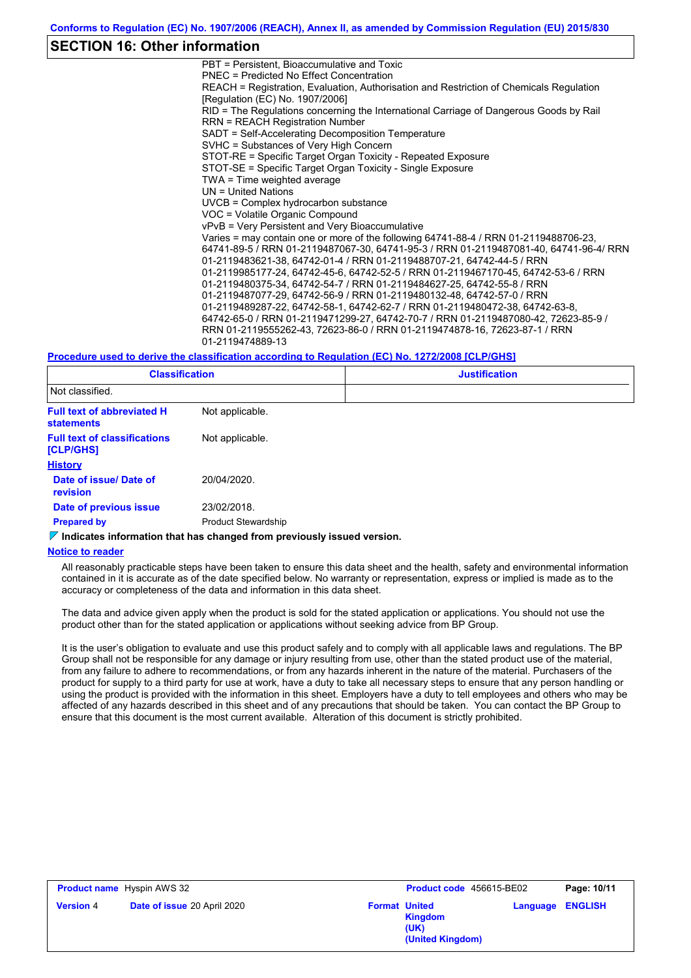#### **SECTION 16: Other information**

PBT = Persistent, Bioaccumulative and Toxic PNEC = Predicted No Effect Concentration REACH = Registration, Evaluation, Authorisation and Restriction of Chemicals Regulation [Regulation (EC) No. 1907/2006] RID = The Regulations concerning the International Carriage of Dangerous Goods by Rail RRN = REACH Registration Number SADT = Self-Accelerating Decomposition Temperature SVHC = Substances of Very High Concern STOT-RE = Specific Target Organ Toxicity - Repeated Exposure STOT-SE = Specific Target Organ Toxicity - Single Exposure TWA = Time weighted average UN = United Nations UVCB = Complex hydrocarbon substance VOC = Volatile Organic Compound vPvB = Very Persistent and Very Bioaccumulative Varies = may contain one or more of the following 64741-88-4 / RRN 01-2119488706-23, 64741-89-5 / RRN 01-2119487067-30, 64741-95-3 / RRN 01-2119487081-40, 64741-96-4/ RRN 01-2119483621-38, 64742-01-4 / RRN 01-2119488707-21, 64742-44-5 / RRN 01-2119985177-24, 64742-45-6, 64742-52-5 / RRN 01-2119467170-45, 64742-53-6 / RRN 01-2119480375-34, 64742-54-7 / RRN 01-2119484627-25, 64742-55-8 / RRN 01-2119487077-29, 64742-56-9 / RRN 01-2119480132-48, 64742-57-0 / RRN 01-2119489287-22, 64742-58-1, 64742-62-7 / RRN 01-2119480472-38, 64742-63-8, 64742-65-0 / RRN 01-2119471299-27, 64742-70-7 / RRN 01-2119487080-42, 72623-85-9 / RRN 01-2119555262-43, 72623-86-0 / RRN 01-2119474878-16, 72623-87-1 / RRN 01-2119474889-13

#### **Procedure used to derive the classification according to Regulation (EC) No. 1272/2008 [CLP/GHS]**

| <b>Classification</b>                                  |                            | <b>Justification</b> |
|--------------------------------------------------------|----------------------------|----------------------|
| Not classified.                                        |                            |                      |
| <b>Full text of abbreviated H</b><br><b>statements</b> | Not applicable.            |                      |
| <b>Full text of classifications</b><br>[CLP/GHS]       | Not applicable.            |                      |
| <b>History</b>                                         |                            |                      |
| Date of issue/ Date of<br><b>revision</b>              | 20/04/2020.                |                      |
| Date of previous issue                                 | 23/02/2018.                |                      |
| <b>Prepared by</b>                                     | <b>Product Stewardship</b> |                      |

#### **Indicates information that has changed from previously issued version.**

#### **Notice to reader**

All reasonably practicable steps have been taken to ensure this data sheet and the health, safety and environmental information contained in it is accurate as of the date specified below. No warranty or representation, express or implied is made as to the accuracy or completeness of the data and information in this data sheet.

The data and advice given apply when the product is sold for the stated application or applications. You should not use the product other than for the stated application or applications without seeking advice from BP Group.

It is the user's obligation to evaluate and use this product safely and to comply with all applicable laws and regulations. The BP Group shall not be responsible for any damage or injury resulting from use, other than the stated product use of the material, from any failure to adhere to recommendations, or from any hazards inherent in the nature of the material. Purchasers of the product for supply to a third party for use at work, have a duty to take all necessary steps to ensure that any person handling or using the product is provided with the information in this sheet. Employers have a duty to tell employees and others who may be affected of any hazards described in this sheet and of any precautions that should be taken. You can contact the BP Group to ensure that this document is the most current available. Alteration of this document is strictly prohibited.

|                  | <b>Product name</b> Hyspin AWS 32 |                      | Product code 456615-BE02                   |          | Page: 10/11    |
|------------------|-----------------------------------|----------------------|--------------------------------------------|----------|----------------|
| <b>Version 4</b> | Date of issue 20 April 2020       | <b>Format United</b> | <b>Kingdom</b><br>(UK)<br>(United Kingdom) | Language | <b>ENGLISH</b> |